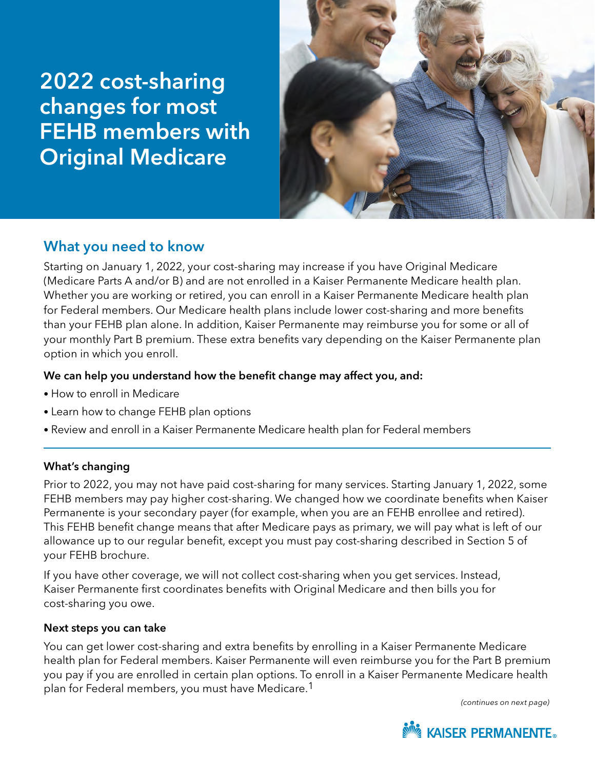# 2022 cost-sharing changes for most FEHB members with Original Medicare



# What you need to know

Starting on January 1, 2022, your cost-sharing may increase if you have Original Medicare (Medicare Parts A and/or B) and are not enrolled in a Kaiser Permanente Medicare health plan. Whether you are working or retired, you can enroll in a Kaiser Permanente Medicare health plan for Federal members. Our Medicare health plans include lower cost-sharing and more benefits than your FEHB plan alone. In addition, Kaiser Permanente may reimburse you for some or all of your monthly Part B premium. These extra benefits vary depending on the Kaiser Permanente plan option in which you enroll.

# We can help you understand how the benefit change may affect you, and:

- How to enroll in Medicare
- Learn how to change FEHB plan options
- Review and enroll in a Kaiser Permanente Medicare health plan for Federal members

# What's changing

Prior to 2022, you may not have paid cost-sharing for many services. Starting January 1, 2022, some FEHB members may pay higher cost-sharing. We changed how we coordinate benefits when Kaiser Permanente is your secondary payer (for example, when you are an FEHB enrollee and retired). This FEHB benefit change means that after Medicare pays as primary, we will pay what is left of our allowance up to our regular benefit, except you must pay cost-sharing described in Section 5 of your FEHB brochure.

If you have other coverage, we will not collect cost-sharing when you get services. Instead, Kaiser Permanente first coordinates benefits with Original Medicare and then bills you for cost-sharing you owe.

## Next steps you can take

You can get lower cost-sharing and extra benefits by enrolling in a Kaiser Permanente Medicare health plan for Federal members. Kaiser Permanente will even reimburse you for the Part B premium you pay if you are enrolled in certain plan options. To enroll in a Kaiser Permanente Medicare health plan for Federal members, you must have Medicare.1

*(continues on next page)*

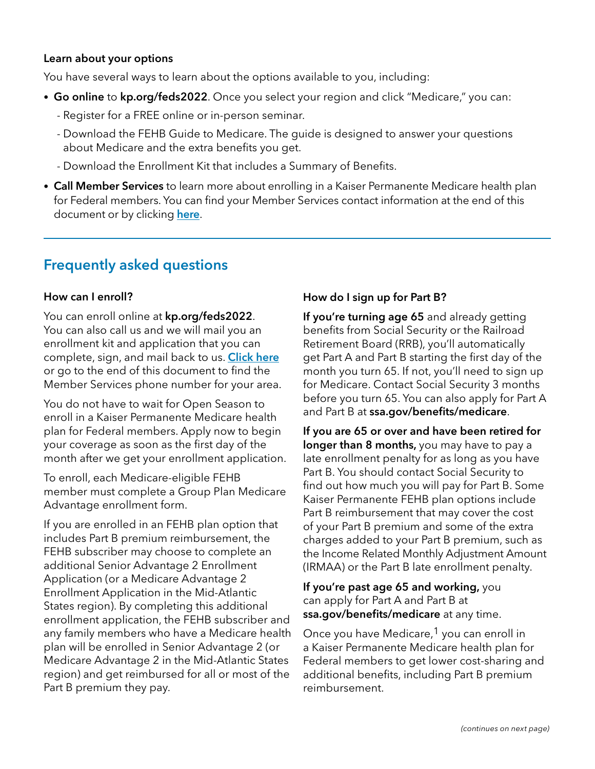#### Learn about your options

You have several ways to learn about the options available to you, including:

- Go online to [kp.org/feds2](http://kp.org/feds2022)022. Once you select your region and click "Medicare," you can:
	- Register for a FREE online or in-person seminar.
	- Download the FEHB Guide to Medicare. The guide is designed to answer your questions about Medicare and the extra benefits you get.
	- Download the Enrollment Kit that includes a Summary of Benefits.
- Call Member Services to learn more about enrolling in a Kaiser Permanente Medicare health plan for Federal members. You can find your Member Services contact information at the end of this document or by clicking [here](#page-3-0).

# Frequently asked questions

### How can I enroll?

You can enroll online at **[kp.org/feds2022](http://kp.org/feds2022)**. You can also call us and we will mail you an enrollment kit and application that you can complete, sign, and mail back to us. [Click here](#page-3-0) or go to the end of this document to find the Member Services phone number for your area.

You do not have to wait for Open Season to enroll in a Kaiser Permanente Medicare health plan for Federal members. Apply now to begin your coverage as soon as the first day of the month after we get your enrollment application.

To enroll, each Medicare-eligible FEHB member must complete a Group Plan Medicare Advantage enrollment form.

If you are enrolled in an FEHB plan option that includes Part B premium reimbursement, the FEHB subscriber may choose to complete an additional Senior Advantage 2 Enrollment Application (or a Medicare Advantage 2 Enrollment Application in the Mid-Atlantic States region). By completing this additional enrollment application, the FEHB subscriber and any family members who have a Medicare health plan will be enrolled in Senior Advantage 2 (or Medicare Advantage 2 in the Mid-Atlantic States region) and get reimbursed for all or most of the Part B premium they pay.

# How do I sign up for Part B?

If you're turning age 65 and already getting benefits from Social Security or the Railroad Retirement Board (RRB), you'll automatically get Part A and Part B starting the first day of the month you turn 65. If not, you'll need to sign up for Medicare. Contact Social Security 3 months before you turn 65. You can also apply for Part A and Part B at [ssa.gov/benefits/medicare](http://ssa.gov/benefits/medicare).

If you are 65 or over and have been retired for longer than 8 months, you may have to pay a late enrollment penalty for as long as you have Part B. You should contact Social Security to find out how much you will pay for Part B. Some Kaiser Permanente FEHB plan options include Part B reimbursement that may cover the cost of your Part B premium and some of the extra charges added to your Part B premium, such as the Income Related Monthly Adjustment Amount (IRMAA) or the Part B late enrollment penalty.

If you're past age 65 and working, you can apply for Part A and Part B at [ssa.gov/benefits/medicare](http://ssa.gov/benefits/medicare) at any time.

Once you have Medicare,<sup>1</sup> you can enroll in a Kaiser Permanente Medicare health plan for Federal members to get lower cost-sharing and additional benefits, including Part B premium reimbursement.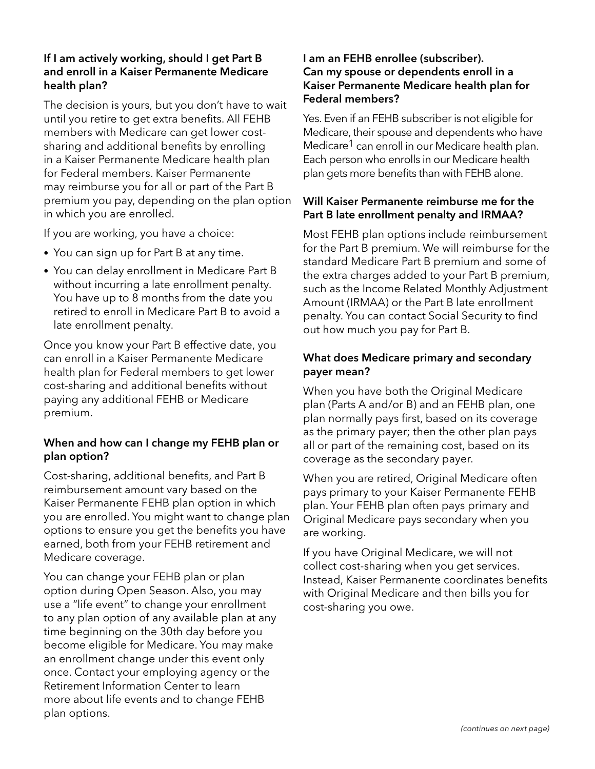#### If I am actively working, should I get Part B and enroll in a Kaiser Permanente Medicare health plan?

The decision is yours, but you don't have to wait until you retire to get extra benefits. All FEHB members with Medicare can get lower costsharing and additional benefits by enrolling in a Kaiser Permanente Medicare health plan for Federal members. Kaiser Permanente may reimburse you for all or part of the Part B premium you pay, depending on the plan option in which you are enrolled.

If you are working, you have a choice:

- You can sign up for Part B at any time.
- You can delay enrollment in Medicare Part B without incurring a late enrollment penalty. You have up to 8 months from the date you retired to enroll in Medicare Part B to avoid a late enrollment penalty.

Once you know your Part B effective date, you can enroll in a Kaiser Permanente Medicare health plan for Federal members to get lower cost-sharing and additional benefits without paying any additional FEHB or Medicare premium.

## When and how can I change my FEHB plan or plan option?

Cost-sharing, additional benefits, and Part B reimbursement amount vary based on the Kaiser Permanente FEHB plan option in which you are enrolled. You might want to change plan options to ensure you get the benefits you have earned, both from your FEHB retirement and Medicare coverage.

You can change your FEHB plan or plan option during Open Season. Also, you may use a "life event" to change your enrollment to any plan option of any available plan at any time beginning on the 30th day before you become eligible for Medicare. You may make an enrollment change under this event only once. Contact your employing agency or the Retirement Information Center to learn more about life events and to change FEHB plan options.

#### I am an FEHB enrollee (subscriber). Can my spouse or dependents enroll in a Kaiser Permanente Medicare health plan for Federal members?

Yes. Even if an FEHB subscriber is not eligible for Medicare, their spouse and dependents who have Medicare<sup>1</sup> can enroll in our Medicare health plan. Each person who enrolls in our Medicare health plan gets more benefits than with FEHB alone.

#### Will Kaiser Permanente reimburse me for the Part B late enrollment penalty and IRMAA?

Most FEHB plan options include reimbursement for the Part B premium. We will reimburse for the standard Medicare Part B premium and some of the extra charges added to your Part B premium, such as the Income Related Monthly Adjustment Amount (IRMAA) or the Part B late enrollment penalty. You can contact Social Security to find out how much you pay for Part B.

### What does Medicare primary and secondary payer mean?

When you have both the Original Medicare plan (Parts A and/or B) and an FEHB plan, one plan normally pays first, based on its coverage as the primary payer; then the other plan pays all or part of the remaining cost, based on its coverage as the secondary payer.

When you are retired, Original Medicare often pays primary to your Kaiser Permanente FEHB plan. Your FEHB plan often pays primary and Original Medicare pays secondary when you are working.

If you have Original Medicare, we will not collect cost-sharing when you get services. Instead, Kaiser Permanente coordinates benefits with Original Medicare and then bills you for cost-sharing you owe.